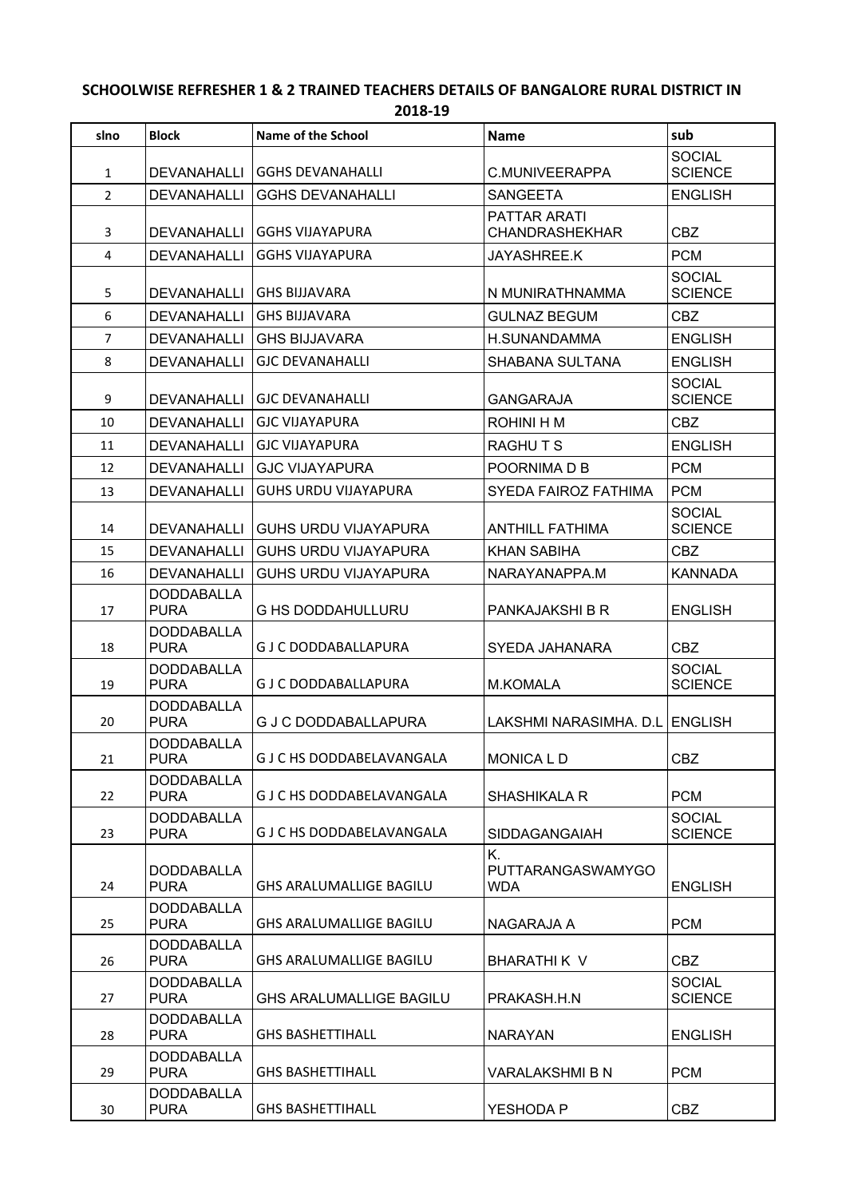## **SCHOOLWISE REFRESHER 1 & 2 TRAINED TEACHERS DETAILS OF BANGALORE RURAL DISTRICT IN 2018-19**

| slno           | <b>Block</b>                     | <b>Name of the School</b>       | <b>Name</b>                                  | sub                             |
|----------------|----------------------------------|---------------------------------|----------------------------------------------|---------------------------------|
| 1              | <b>DEVANAHALLI</b>               | <b>GGHS DEVANAHALLI</b>         | C.MUNIVEERAPPA                               | <b>SOCIAL</b><br><b>SCIENCE</b> |
| $\overline{2}$ | <b>DEVANAHALLI</b>               | <b>GGHS DEVANAHALLI</b>         | <b>SANGEETA</b>                              | <b>ENGLISH</b>                  |
| 3              | <b>DEVANAHALLI</b>               | <b>GGHS VIJAYAPURA</b>          | <b>PATTAR ARATI</b><br><b>CHANDRASHEKHAR</b> | <b>CBZ</b>                      |
| 4              | <b>DEVANAHALLI</b>               | <b>GGHS VIJAYAPURA</b>          | JAYASHREE.K                                  | <b>PCM</b>                      |
| 5              | <b>DEVANAHALLI</b>               | <b>GHS BIJJAVARA</b>            | N MUNIRATHNAMMA                              | <b>SOCIAL</b><br><b>SCIENCE</b> |
| 6              | <b>DEVANAHALLI</b>               | <b>GHS BIJJAVARA</b>            | <b>GULNAZ BEGUM</b>                          | <b>CBZ</b>                      |
| $\overline{7}$ | DEVANAHALLI                      | <b>GHS BIJJAVARA</b>            | H.SUNANDAMMA                                 | <b>ENGLISH</b>                  |
| 8              | <b>DEVANAHALLI</b>               | <b>GJC DEVANAHALLI</b>          | SHABANA SULTANA                              | <b>ENGLISH</b>                  |
| 9              | <b>DEVANAHALLI</b>               | <b>GJC DEVANAHALLI</b>          | <b>GANGARAJA</b>                             | <b>SOCIAL</b><br><b>SCIENCE</b> |
| 10             | <b>DEVANAHALLI</b>               | <b>GJC VIJAYAPURA</b>           | ROHINI H M                                   | <b>CBZ</b>                      |
| 11             | <b>DEVANAHALLI</b>               | <b>GJC VIJAYAPURA</b>           | <b>RAGHUTS</b>                               | <b>ENGLISH</b>                  |
| 12             | DEVANAHALLI                      | <b>GJC VIJAYAPURA</b>           | POORNIMA D B                                 | <b>PCM</b>                      |
| 13             | <b>DEVANAHALLI</b>               | <b>GUHS URDU VIJAYAPURA</b>     | <b>SYEDA FAIROZ FATHIMA</b>                  | <b>PCM</b>                      |
| 14             | <b>DEVANAHALLI</b>               | <b>GUHS URDU VIJAYAPURA</b>     | <b>ANTHILL FATHIMA</b>                       | <b>SOCIAL</b><br><b>SCIENCE</b> |
| 15             | <b>DEVANAHALLI</b>               | <b>GUHS URDU VIJAYAPURA</b>     | <b>KHAN SABIHA</b>                           | <b>CBZ</b>                      |
| 16             | <b>DEVANAHALLI</b>               | <b>GUHS URDU VIJAYAPURA</b>     | NARAYANAPPA.M                                | <b>KANNADA</b>                  |
| 17             | <b>DODDABALLA</b><br><b>PURA</b> | <b>G HS DODDAHULLURU</b>        | PANKAJAKSHI B R                              | <b>ENGLISH</b>                  |
| 18             | <b>DODDABALLA</b><br><b>PURA</b> | <b>GJ C DODDABALLAPURA</b>      | SYEDA JAHANARA                               | <b>CBZ</b>                      |
| 19             | <b>DODDABALLA</b><br><b>PURA</b> | <b>GJ C DODDABALLAPURA</b>      | <b>M.KOMALA</b>                              | <b>SOCIAL</b><br><b>SCIENCE</b> |
| 20             | <b>DODDABALLA</b><br><b>PURA</b> | <b>G J C DODDABALLAPURA</b>     | LAKSHMI NARASIMHA, D.L ENGLISH               |                                 |
| 21             | <b>DODDABALLA</b><br><b>PURA</b> | G J C HS DODDABELAVANGALA       | MONICA L D                                   | CBZ                             |
| 22             | <b>DODDABALLA</b><br><b>PURA</b> | G J C HS DODDABELAVANGALA       | <b>SHASHIKALA R</b>                          | <b>PCM</b>                      |
| 23             | <b>DODDABALLA</b><br><b>PURA</b> | <b>GJ C HS DODDABELAVANGALA</b> | SIDDAGANGAIAH                                | <b>SOCIAL</b><br><b>SCIENCE</b> |
| 24             | <b>DODDABALLA</b><br><b>PURA</b> | <b>GHS ARALUMALLIGE BAGILU</b>  | K.<br>PUTTARANGASWAMYGO<br><b>WDA</b>        | <b>ENGLISH</b>                  |
| 25             | <b>DODDABALLA</b><br><b>PURA</b> | <b>GHS ARALUMALLIGE BAGILU</b>  | NAGARAJA A                                   | <b>PCM</b>                      |
| 26             | <b>DODDABALLA</b><br><b>PURA</b> | <b>GHS ARALUMALLIGE BAGILU</b>  | BHARATHI K V                                 | <b>CBZ</b>                      |
| 27             | <b>DODDABALLA</b><br><b>PURA</b> | <b>GHS ARALUMALLIGE BAGILU</b>  | PRAKASH.H.N                                  | <b>SOCIAL</b><br><b>SCIENCE</b> |
| 28             | <b>DODDABALLA</b><br><b>PURA</b> | <b>GHS BASHETTIHALL</b>         | <b>NARAYAN</b>                               | <b>ENGLISH</b>                  |
| 29             | <b>DODDABALLA</b><br><b>PURA</b> | <b>GHS BASHETTIHALL</b>         | <b>VARALAKSHMI B N</b>                       | <b>PCM</b>                      |
| 30             | <b>DODDABALLA</b><br><b>PURA</b> | <b>GHS BASHETTIHALL</b>         | YESHODA P                                    | <b>CBZ</b>                      |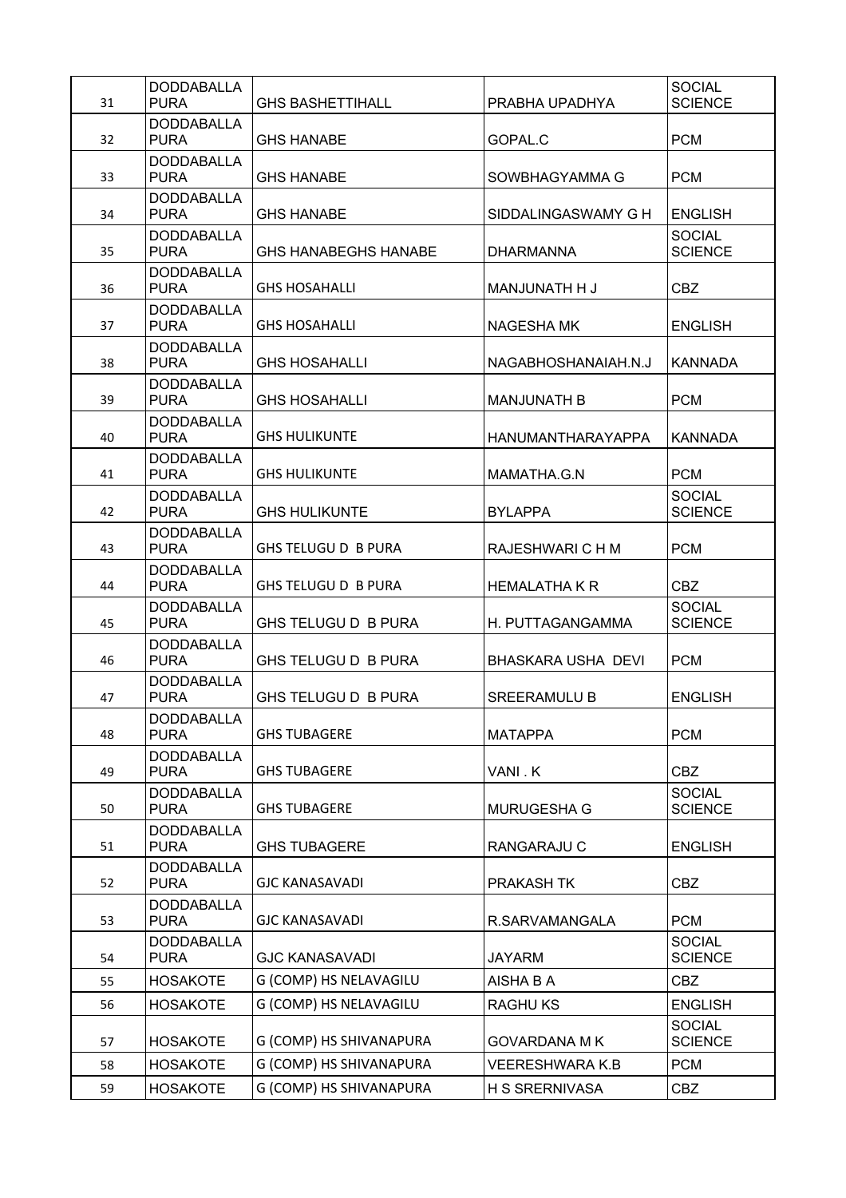| 31 | <b>DODDABALLA</b><br><b>PURA</b> | <b>GHS BASHETTIHALL</b>     | PRABHA UPADHYA           | <b>SOCIAL</b><br><b>SCIENCE</b> |
|----|----------------------------------|-----------------------------|--------------------------|---------------------------------|
| 32 | <b>DODDABALLA</b><br><b>PURA</b> | <b>GHS HANABE</b>           | GOPAL.C                  | <b>PCM</b>                      |
| 33 | <b>DODDABALLA</b><br><b>PURA</b> | GHS HANABF                  | SOWBHAGYAMMA G           | <b>PCM</b>                      |
| 34 | <b>DODDABALLA</b><br><b>PURA</b> | <b>GHS HANABE</b>           | SIDDALINGASWAMY G H      | <b>ENGLISH</b>                  |
| 35 | <b>DODDABALLA</b><br><b>PURA</b> | <b>GHS HANABEGHS HANABE</b> | <b>DHARMANNA</b>         | <b>SOCIAL</b><br><b>SCIENCE</b> |
| 36 | <b>DODDABALLA</b><br><b>PURA</b> | <b>GHS HOSAHALLI</b>        | MANJUNATH H J            | <b>CBZ</b>                      |
| 37 | <b>DODDABALLA</b><br><b>PURA</b> | <b>GHS HOSAHALLI</b>        | <b>NAGESHA MK</b>        | <b>ENGLISH</b>                  |
| 38 | <b>DODDABALLA</b><br><b>PURA</b> | <b>GHS HOSAHALLI</b>        | NAGABHOSHANAIAH.N.J      | <b>KANNADA</b>                  |
| 39 | <b>DODDABALLA</b><br><b>PURA</b> | <b>GHS HOSAHALLI</b>        | <b>MANJUNATH B</b>       | <b>PCM</b>                      |
| 40 | <b>DODDABALLA</b><br><b>PURA</b> | <b>GHS HULIKUNTE</b>        | <b>HANUMANTHARAYAPPA</b> | <b>KANNADA</b>                  |
| 41 | <b>DODDABALLA</b><br><b>PURA</b> | <b>GHS HULIKUNTE</b>        | MAMATHA.G.N              | <b>PCM</b>                      |
| 42 | <b>DODDABALLA</b><br><b>PURA</b> | <b>GHS HULIKUNTE</b>        | <b>BYLAPPA</b>           | <b>SOCIAL</b><br><b>SCIENCE</b> |
| 43 | <b>DODDABALLA</b><br><b>PURA</b> | <b>GHS TELUGU D B PURA</b>  | RAJESHWARI C H M         | <b>PCM</b>                      |
| 44 | <b>DODDABALLA</b><br><b>PURA</b> | GHS TELUGU D B PURA         | <b>HEMALATHA K R</b>     | <b>CBZ</b>                      |
| 45 | <b>DODDABALLA</b><br><b>PURA</b> | GHS TELUGU D B PURA         | H. PUTTAGANGAMMA         | <b>SOCIAL</b><br><b>SCIENCE</b> |
| 46 | <b>DODDABALLA</b><br><b>PURA</b> | GHS TELUGU D B PURA         | BHASKARA USHA DEVI       | <b>PCM</b>                      |
| 47 | <b>DODDABALLA</b><br><b>PURA</b> | <b>GHS TELUGU D B PURA</b>  | <b>SREERAMULU B</b>      | <b>ENGLISH</b>                  |
| 48 | <b>DODDABALLA</b><br><b>PURA</b> | <b>GHS TUBAGERE</b>         | <b>MATAPPA</b>           | <b>PCM</b>                      |
| 49 | <b>DODDABALLA</b><br><b>PURA</b> | <b>GHS TUBAGERE</b>         | VANI.K                   | <b>CBZ</b>                      |
| 50 | <b>DODDABALLA</b><br><b>PURA</b> | <b>GHS TUBAGERE</b>         | <b>MURUGESHA G</b>       | <b>SOCIAL</b><br><b>SCIENCE</b> |
| 51 | <b>DODDABALLA</b><br><b>PURA</b> | <b>GHS TUBAGERE</b>         | RANGARAJU C              | <b>ENGLISH</b>                  |
| 52 | <b>DODDABALLA</b><br><b>PURA</b> | <b>GJC KANASAVADI</b>       | PRAKASH TK               | <b>CBZ</b>                      |
| 53 | <b>DODDABALLA</b><br><b>PURA</b> | <b>GJC KANASAVADI</b>       | R.SARVAMANGALA           | <b>PCM</b>                      |
| 54 | <b>DODDABALLA</b><br><b>PURA</b> | <b>GJC KANASAVADI</b>       | <b>JAYARM</b>            | <b>SOCIAL</b><br><b>SCIENCE</b> |
| 55 | <b>HOSAKOTE</b>                  | G (COMP) HS NELAVAGILU      | AISHA B A                | <b>CBZ</b>                      |
| 56 | <b>HOSAKOTE</b>                  | G (COMP) HS NELAVAGILU      | <b>RAGHUKS</b>           | <b>ENGLISH</b>                  |
| 57 | <b>HOSAKOTE</b>                  | G (COMP) HS SHIVANAPURA     | <b>GOVARDANA M K</b>     | <b>SOCIAL</b><br><b>SCIENCE</b> |
| 58 | <b>HOSAKOTE</b>                  | G (COMP) HS SHIVANAPURA     | VEERESHWARA K.B          | <b>PCM</b>                      |
| 59 | <b>HOSAKOTE</b>                  | G (COMP) HS SHIVANAPURA     | <b>H S SRERNIVASA</b>    | <b>CBZ</b>                      |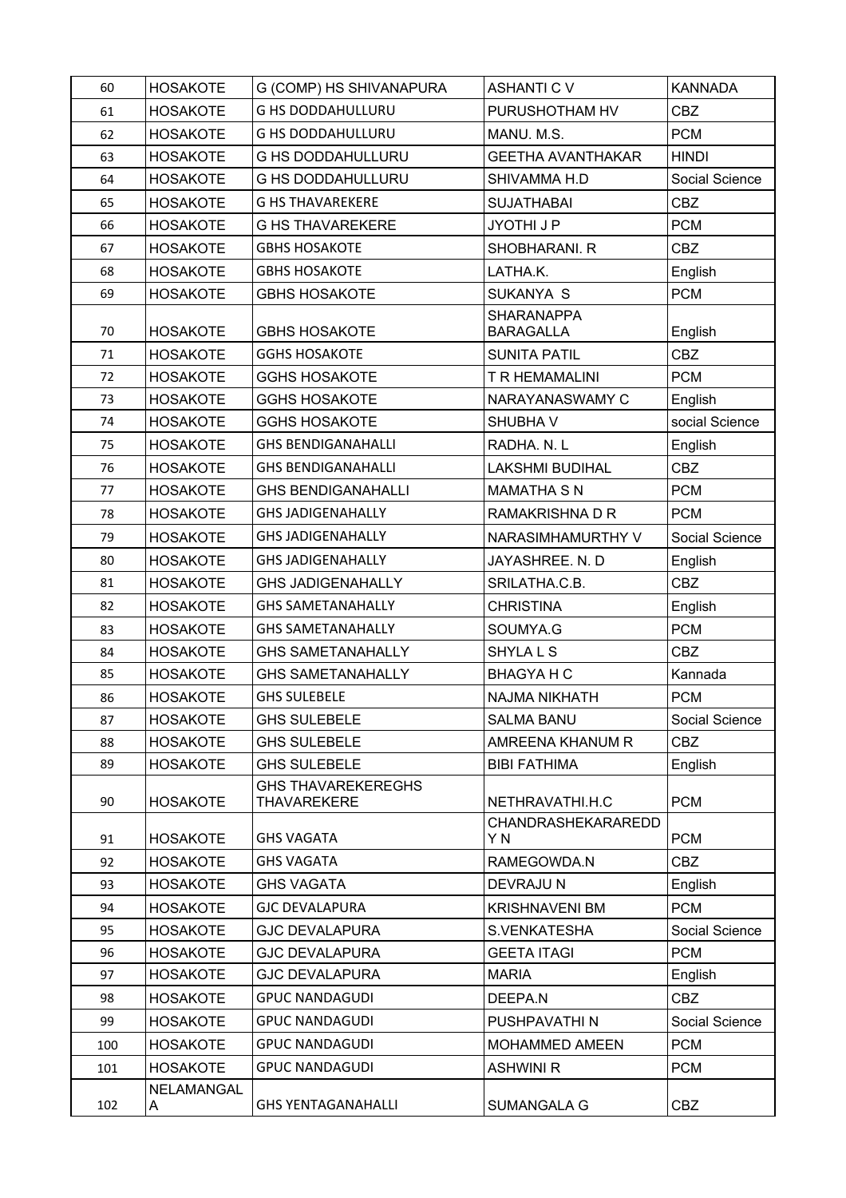| 60  | <b>HOSAKOTE</b> | G (COMP) HS SHIVANAPURA                         | <b>ASHANTI C V</b>                    | <b>KANNADA</b> |
|-----|-----------------|-------------------------------------------------|---------------------------------------|----------------|
| 61  | <b>HOSAKOTE</b> | <b>G HS DODDAHULLURU</b>                        | PURUSHOTHAM HV                        | <b>CBZ</b>     |
| 62  | <b>HOSAKOTE</b> | <b>G HS DODDAHULLURU</b>                        | MANU. M.S.                            | <b>PCM</b>     |
| 63  | <b>HOSAKOTE</b> | <b>G HS DODDAHULLURU</b>                        | <b>GEETHA AVANTHAKAR</b>              | <b>HINDI</b>   |
| 64  | <b>HOSAKOTE</b> | <b>G HS DODDAHULLURU</b>                        | SHIVAMMA H.D                          | Social Science |
| 65  | <b>HOSAKOTE</b> | <b>G HS THAVAREKERE</b>                         | <b>SUJATHABAI</b>                     | <b>CBZ</b>     |
| 66  | <b>HOSAKOTE</b> | <b>G HS THAVAREKERE</b>                         | JYOTHI J P                            | <b>PCM</b>     |
| 67  | <b>HOSAKOTE</b> | <b>GBHS HOSAKOTE</b>                            | SHOBHARANI. R                         | <b>CBZ</b>     |
| 68  | <b>HOSAKOTE</b> | <b>GBHS HOSAKOTE</b>                            | LATHA.K.                              | English        |
| 69  | <b>HOSAKOTE</b> | <b>GBHS HOSAKOTE</b>                            | SUKANYA S                             | <b>PCM</b>     |
| 70  | <b>HOSAKOTE</b> | <b>GBHS HOSAKOTE</b>                            | <b>SHARANAPPA</b><br><b>BARAGALLA</b> | English        |
| 71  | <b>HOSAKOTE</b> | <b>GGHS HOSAKOTE</b>                            | <b>SUNITA PATIL</b>                   | <b>CBZ</b>     |
| 72  | <b>HOSAKOTE</b> | <b>GGHS HOSAKOTE</b>                            | T R HEMAMALINI                        | <b>PCM</b>     |
| 73  | <b>HOSAKOTE</b> | <b>GGHS HOSAKOTE</b>                            | NARAYANASWAMY C                       | English        |
| 74  | <b>HOSAKOTE</b> | <b>GGHS HOSAKOTE</b>                            | SHUBHA V                              | social Science |
| 75  | <b>HOSAKOTE</b> | <b>GHS BENDIGANAHALLI</b>                       | RADHA, N. L.                          | English        |
| 76  | <b>HOSAKOTE</b> | <b>GHS BENDIGANAHALLI</b>                       | <b>LAKSHMI BUDIHAL</b>                | <b>CBZ</b>     |
| 77  | <b>HOSAKOTE</b> | <b>GHS BENDIGANAHALLI</b>                       | <b>MAMATHA S N</b>                    | <b>PCM</b>     |
| 78  | <b>HOSAKOTE</b> | <b>GHS JADIGENAHALLY</b>                        | RAMAKRISHNA D R                       | <b>PCM</b>     |
| 79  | <b>HOSAKOTE</b> | <b>GHS JADIGENAHALLY</b>                        | NARASIMHAMURTHY V                     | Social Science |
| 80  | <b>HOSAKOTE</b> | <b>GHS JADIGENAHALLY</b>                        | JAYASHREE. N. D                       | English        |
| 81  | <b>HOSAKOTE</b> | <b>GHS JADIGENAHALLY</b>                        | SRILATHA.C.B.                         | <b>CBZ</b>     |
| 82  | <b>HOSAKOTE</b> | <b>GHS SAMETANAHALLY</b>                        | <b>CHRISTINA</b>                      | English        |
| 83  | <b>HOSAKOTE</b> | <b>GHS SAMETANAHALLY</b>                        | SOUMYA.G                              | <b>PCM</b>     |
| 84  | <b>HOSAKOTE</b> | <b>GHS SAMETANAHALLY</b>                        | <b>SHYLALS</b>                        | <b>CBZ</b>     |
| 85  | <b>HOSAKOTE</b> | <b>GHS SAMETANAHALLY</b>                        | <b>BHAGYA H C</b>                     | Kannada        |
| 86  | <b>HOSAKOTE</b> | <b>GHS SULEBELE</b>                             | <b>NAJMA NIKHATH</b>                  | <b>PCM</b>     |
| 87  | <b>HOSAKOTE</b> | <b>GHS SULEBELE</b>                             | <b>SALMA BANU</b>                     | Social Science |
| 88  | <b>HOSAKOTE</b> | <b>GHS SULEBELE</b>                             | AMREENA KHANUM R                      | <b>CBZ</b>     |
| 89  | <b>HOSAKOTE</b> | <b>GHS SULEBELE</b>                             | <b>BIBI FATHIMA</b>                   | English        |
| 90  | <b>HOSAKOTE</b> | <b>GHS THAVAREKEREGHS</b><br><b>THAVAREKERE</b> | NETHRAVATHI.H.C                       | <b>PCM</b>     |
| 91  | <b>HOSAKOTE</b> | <b>GHS VAGATA</b>                               | <b>CHANDRASHEKARAREDD</b><br>Y N      | <b>PCM</b>     |
| 92  | <b>HOSAKOTE</b> | <b>GHS VAGATA</b>                               | RAMEGOWDA.N                           | <b>CBZ</b>     |
| 93  | <b>HOSAKOTE</b> | <b>GHS VAGATA</b>                               | DEVRAJU N                             | English        |
| 94  | <b>HOSAKOTE</b> | <b>GJC DEVALAPURA</b>                           | <b>KRISHNAVENI BM</b>                 | <b>PCM</b>     |
| 95  | <b>HOSAKOTE</b> | <b>GJC DEVALAPURA</b>                           | S.VENKATESHA                          | Social Science |
| 96  | <b>HOSAKOTE</b> | <b>GJC DEVALAPURA</b>                           | <b>GEETA ITAGI</b>                    | <b>PCM</b>     |
| 97  | <b>HOSAKOTE</b> | <b>GJC DEVALAPURA</b>                           | <b>MARIA</b>                          | English        |
| 98  | <b>HOSAKOTE</b> | <b>GPUC NANDAGUDI</b>                           | DEEPA.N                               | <b>CBZ</b>     |
| 99  | <b>HOSAKOTE</b> | <b>GPUC NANDAGUDI</b>                           | PUSHPAVATHI N                         | Social Science |
| 100 | <b>HOSAKOTE</b> | <b>GPUC NANDAGUDI</b>                           | MOHAMMED AMEEN                        | <b>PCM</b>     |
| 101 | <b>HOSAKOTE</b> | <b>GPUC NANDAGUDI</b>                           | <b>ASHWINI R</b>                      | <b>PCM</b>     |
| 102 | NELAMANGAL<br>A | <b>GHS YENTAGANAHALLI</b>                       | SUMANGALA G                           | <b>CBZ</b>     |